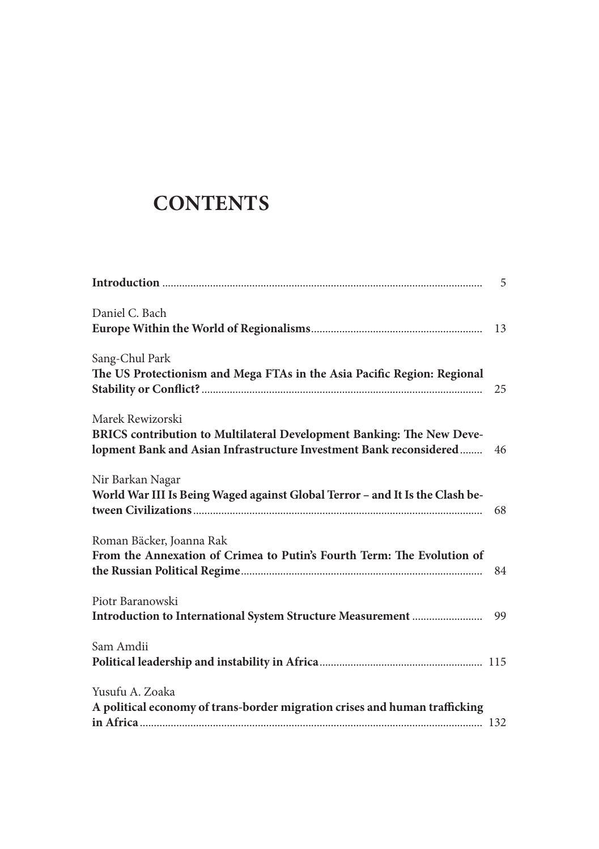## **CONTENTS**

| Daniel C. Bach                                                                                                                              |    |
|---------------------------------------------------------------------------------------------------------------------------------------------|----|
|                                                                                                                                             |    |
| Sang-Chul Park                                                                                                                              |    |
| The US Protectionism and Mega FTAs in the Asia Pacific Region: Regional                                                                     |    |
| Marek Rewizorski                                                                                                                            |    |
| BRICS contribution to Multilateral Development Banking: The New Deve-<br>lopment Bank and Asian Infrastructure Investment Bank reconsidered | 46 |
| Nir Barkan Nagar                                                                                                                            |    |
| World War III Is Being Waged against Global Terror - and It Is the Clash be-                                                                |    |
| Roman Bäcker, Joanna Rak                                                                                                                    |    |
| From the Annexation of Crimea to Putin's Fourth Term: The Evolution of                                                                      |    |
| Piotr Baranowski                                                                                                                            |    |
|                                                                                                                                             |    |
| Sam Amdii                                                                                                                                   |    |
|                                                                                                                                             |    |
| Yusufu A. Zoaka                                                                                                                             |    |
| A political economy of trans-border migration crises and human trafficking                                                                  |    |
|                                                                                                                                             |    |